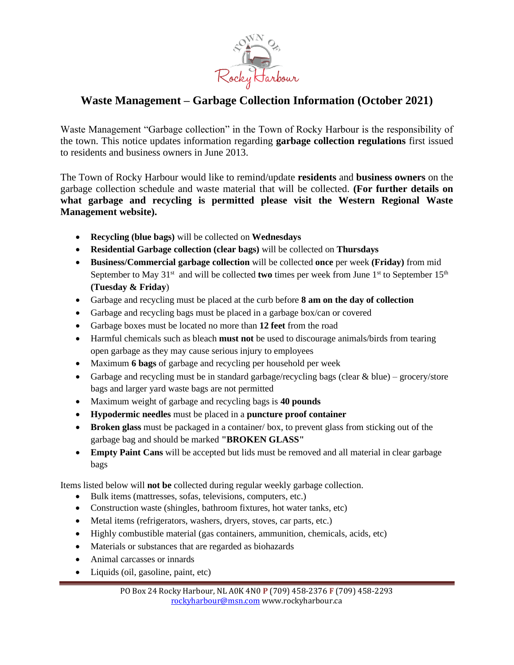

## **Waste Management – Garbage Collection Information (October 2021)**

Waste Management "Garbage collection" in the Town of Rocky Harbour is the responsibility of the town. This notice updates information regarding **garbage collection regulations** first issued to residents and business owners in June 2013.

The Town of Rocky Harbour would like to remind/update **residents** and **business owners** on the garbage collection schedule and waste material that will be collected. **(For further details on what garbage and recycling is permitted please visit the Western Regional Waste Management website).**

- **Recycling (blue bags)** will be collected on **Wednesdays**
- **Residential Garbage collection (clear bags)** will be collected on **Thursdays**
- **Business/Commercial garbage collection** will be collected **once** per week **(Friday)** from mid September to May 31<sup>st</sup> and will be collected **two** times per week from June 1<sup>st</sup> to September 15<sup>th</sup> **(Tuesday & Friday**)
- Garbage and recycling must be placed at the curb before **8 am on the day of collection**
- Garbage and recycling bags must be placed in a garbage box/can or covered
- Garbage boxes must be located no more than **12 feet** from the road
- Harmful chemicals such as bleach **must not** be used to discourage animals/birds from tearing open garbage as they may cause serious injury to employees
- Maximum **6 bags** of garbage and recycling per household per week
- Garbage and recycling must be in standard garbage/recycling bags (clear  $&blue$ ) grocery/store bags and larger yard waste bags are not permitted
- Maximum weight of garbage and recycling bags is **40 pounds**
- **Hypodermic needles** must be placed in a **puncture proof container**
- **Broken glass** must be packaged in a container/ box, to prevent glass from sticking out of the garbage bag and should be marked **"BROKEN GLASS"**
- **Empty Paint Cans** will be accepted but lids must be removed and all material in clear garbage bags

Items listed below will **not be** collected during regular weekly garbage collection.

- Bulk items (mattresses, sofas, televisions, computers, etc.)
- Construction waste (shingles, bathroom fixtures, hot water tanks, etc)
- Metal items (refrigerators, washers, dryers, stoves, car parts, etc.)
- Highly combustible material (gas containers, ammunition, chemicals, acids, etc)
- Materials or substances that are regarded as biohazards
- Animal carcasses or innards
- Liquids (oil, gasoline, paint, etc)

PO Box 24 Rocky Harbour, NL A0K 4N0 **P** (709) 458-2376 **F** (709) 458-2293 [rockyharbour@msn.com](mailto:rockyharbour@msn.com) www.rockyharbour.ca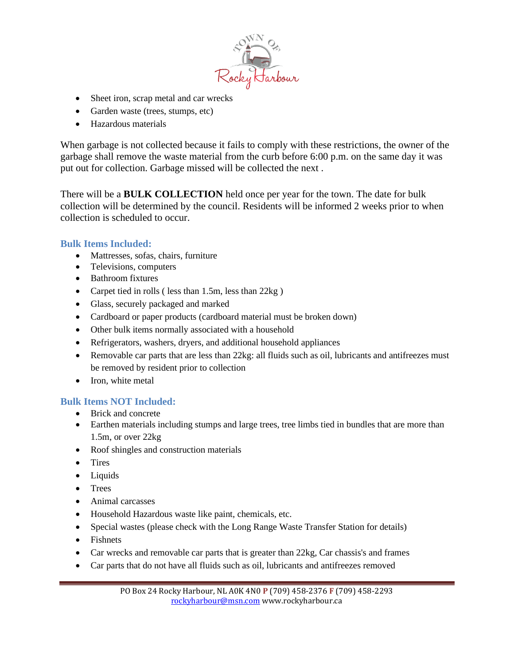

- Sheet iron, scrap metal and car wrecks
- Garden waste (trees, stumps, etc)
- Hazardous materials

When garbage is not collected because it fails to comply with these restrictions, the owner of the garbage shall remove the waste material from the curb before 6:00 p.m. on the same day it was put out for collection. Garbage missed will be collected the next .

There will be a **BULK COLLECTION** held once per year for the town. The date for bulk collection will be determined by the council. Residents will be informed 2 weeks prior to when collection is scheduled to occur.

## **Bulk Items Included:**

- Mattresses, sofas, chairs, furniture
- Televisions, computers
- Bathroom fixtures
- Carpet tied in rolls (less than 1.5m, less than 22kg)
- Glass, securely packaged and marked
- Cardboard or paper products (cardboard material must be broken down)
- Other bulk items normally associated with a household
- Refrigerators, washers, dryers, and additional household appliances
- Removable car parts that are less than 22kg: all fluids such as oil, lubricants and antifreezes must be removed by resident prior to collection
- Iron, white metal

## **Bulk Items NOT Included:**

- Brick and concrete
- Earthen materials including stumps and large trees, tree limbs tied in bundles that are more than 1.5m, or over 22kg
- Roof shingles and construction materials
- Tires
- Liquids
- Trees
- Animal carcasses
- Household Hazardous waste like paint, chemicals, etc.
- Special wastes (please check with the Long Range Waste Transfer Station for details)
- Fishnets
- Car wrecks and removable car parts that is greater than 22kg, Car chassis's and frames
- Car parts that do not have all fluids such as oil, lubricants and antifreezes removed